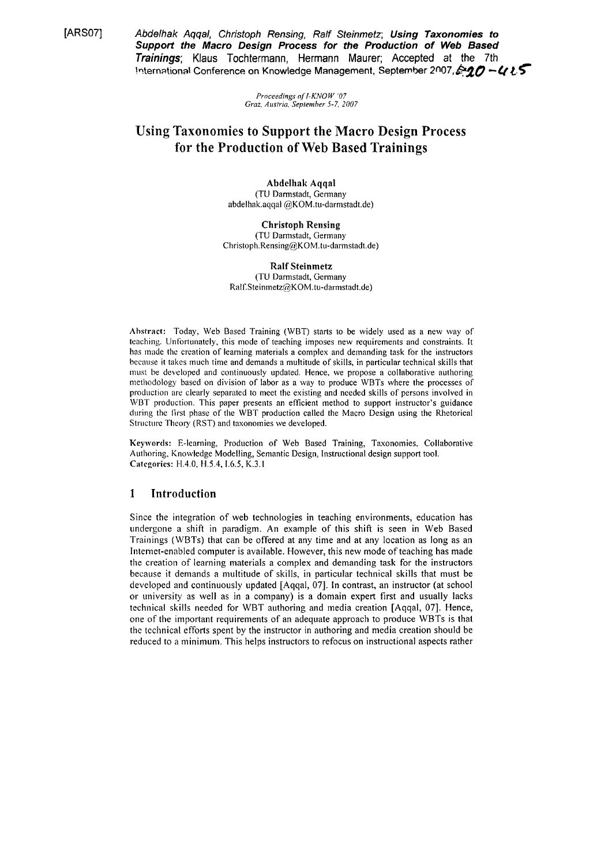[ARS07]

Abdelhak Aqqal, Christoph Rensing, Ralf Steinmetz; Using Taxonomies to Support the Macro Design Process for the Production of Web Based Trainings; Klaus Tochtermann, Hermann Maurer; Accepted at the 7th International Conference on Knowledge Management, September 2007, 2007

> Proceedings of I-KNOW '07 Graz. Austria. September 5-7, 2007

# **Using Taxonomies to Support the Macro Design Process** for the Production of Web Based Trainings

Abdelhak Aqqal (TU Darmstadt, Germany abdelhak.aqqal @KOM.tu-darmstadt.de)

**Christoph Rensing** (TU Darmstadt, Germany Christoph.Rensing@KOM.tu-darmstadt.de)

**Ralf Steinmetz** (TU Darmstadt, Germany Ralf.Steinmetz@KOM.tu-darmstadt.de)

Abstract: Today, Web Based Training (WBT) starts to be widely used as a new way of teaching. Unfortunately, this mode of teaching imposes new requirements and constraints. It has made the creation of learning materials a complex and demanding task for the instructors because it takes much time and demands a multitude of skills, in particular technical skills that must be developed and continuously updated. Hence, we propose a collaborative authoring methodology based on division of labor as a way to produce WBTs where the processes of production are clearly separated to meet the existing and needed skills of persons involved in WBT production. This paper presents an efficient method to support instructor's guidance during the first phase of the WBT production called the Macro Design using the Rhetorical Structure Theory (RST) and taxonomies we developed.

Keywords: E-learning, Production of Web Based Training, Taxonomies, Collaborative Authoring, Knowledge Modelling, Semantic Design, Instructional design support tool. Categories: H.4.0, H.5.4, I.6.5, K.3.1

# $\mathbf{1}$ Introduction

Since the integration of web technologies in teaching environments, education has undergone a shift in paradigm. An example of this shift is seen in Web Based Trainings (WBTs) that can be offered at any time and at any location as long as an Internet-enabled computer is available. However, this new mode of teaching has made the creation of learning materials a complex and demanding task for the instructors because it demands a multitude of skills, in particular technical skills that must be developed and continuously updated [Aqqal, 07]. In contrast, an instructor (at school or university as well as in a company) is a domain expert first and usually lacks technical skills needed for WBT authoring and media creation [Aqqal, 07]. Hence, one of the important requirements of an adequate approach to produce WBTs is that the technical efforts spent by the instructor in authoring and media creation should be reduced to a minimum. This helps instructors to refocus on instructional aspects rather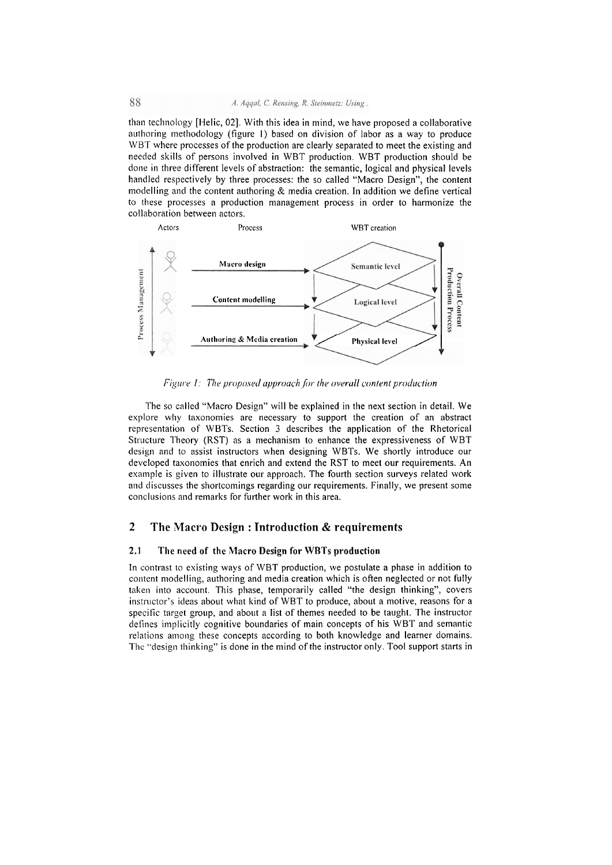than technology [Helic, 02]. With this idea in mind, we have proposed a collaborative authoring methodology (figure 1) based on division of labor as a way to produce WBT where processes of the production are clearly separated to meet the existing and needed skills of persons involved in WBT production. WBT production should be done in three different levels of abstraction: the semantic, logical and physical levels handled respectively by three processes: the so called "Macro Design", the content modelling and the content authoring & media creation. In addition we define vertical to these processes a production management process in order to harmonize the collaboration between actors.



Figure 1: The proposed approach for the overall content production

The so called "Macro Design" will be explained in the next section in detail. We explore why taxonomies are necessary to support the creation of an abstract representation of WBTs. Section 3 describes the application of the Rhetorical Structure Theory (RST) as a mechanism to enhance the expressiveness of WBT design and to assist instructors when designing WBTs. We shortly introduce our developed taxonomies that enrich and extend the RST to meet our requirements. An example is given to illustrate our approach. The fourth section surveys related work and discusses the shortcomings regarding our requirements. Finally, we present some conclusions and remarks for further work in this area.

# $\overline{2}$ The Macro Design: Introduction & requirements

#### $2.1$ The need of the Macro Design for WBTs production

In contrast to existing ways of WBT production, we postulate a phase in addition to content modelling, authoring and media creation which is often neglected or not fully taken into account. This phase, temporarily called "the design thinking", covers instructor's ideas about what kind of WBT to produce, about a motive, reasons for a specific target group, and about a list of themes needed to be taught. The instructor defines implicitly cognitive boundaries of main concepts of his WBT and semantic relations among these concepts according to both knowledge and learner domains. The "design thinking" is done in the mind of the instructor only. Tool support starts in

88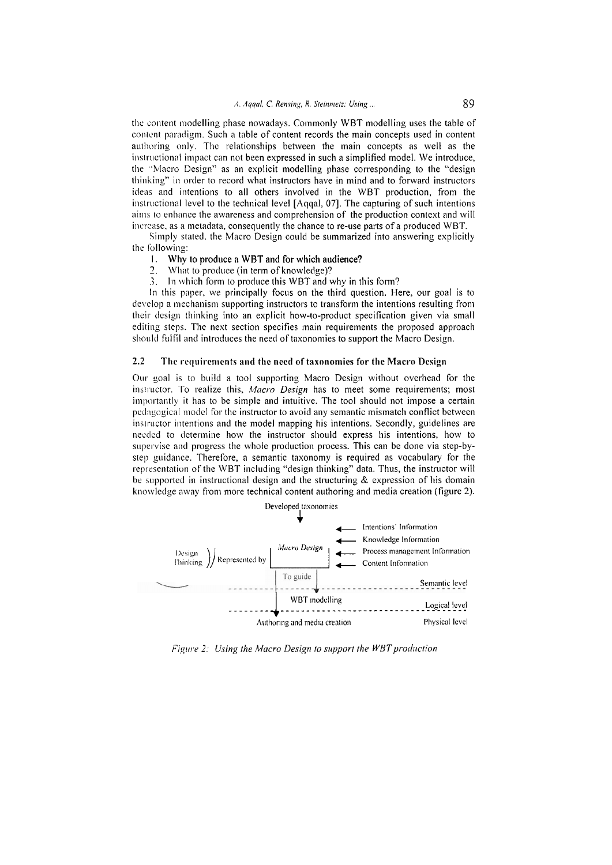the content modelling phase nowadays. Commonly WBT modelling uses the table of content paradigm. Such a table of content records the main concepts used in content authoring only. The relationships between the main concepts as well as the instructional impact can not been expressed in such a simplified model. We introduce, the "Macro Design" as an explicit modelling phase corresponding to the "design thinking" in order to record what instructors have in mind and to forward instructors ideas and intentions to all others involved in the WBT production, from the instructional level to the technical level [Aqqal, 07]. The capturing of such intentions aims to enhance the awareness and comprehension of the production context and will increase, as a metadata, consequently the chance to re-use parts of a produced WBT.

Simply stated, the Macro Design could be summarized into answering explicitly the following:

### Why to produce a WBT and for which audience?  $1.$

- $2.$ What to produce (in term of knowledge)?
- 3. In which form to produce this WBT and why in this form?

In this paper, we principally focus on the third question. Here, our goal is to develop a mechanism supporting instructors to transform the intentions resulting from their design thinking into an explicit how-to-product specification given via small editing steps. The next section specifies main requirements the proposed approach should fulfil and introduces the need of taxonomies to support the Macro Design.

#### 2.2 The requirements and the need of taxonomies for the Macro Design

Our goal is to build a tool supporting Macro Design without overhead for the instructor. To realize this, Macro Design has to meet some requirements; most importantly it has to be simple and intuitive. The tool should not impose a certain pedagogical model for the instructor to avoid any semantic mismatch conflict between instructor intentions and the model mapping his intentions. Secondly, guidelines are needed to determine how the instructor should express his intentions, how to supervise and progress the whole production process. This can be done via step-bystep guidance. Therefore, a semantic taxonomy is required as vocabulary for the representation of the WBT including "design thinking" data. Thus, the instructor will be supported in instructional design and the structuring  $\&$  expression of his domain knowledge away from more technical content authoring and media creation (figure 2).



Figure 2: Using the Macro Design to support the WBT production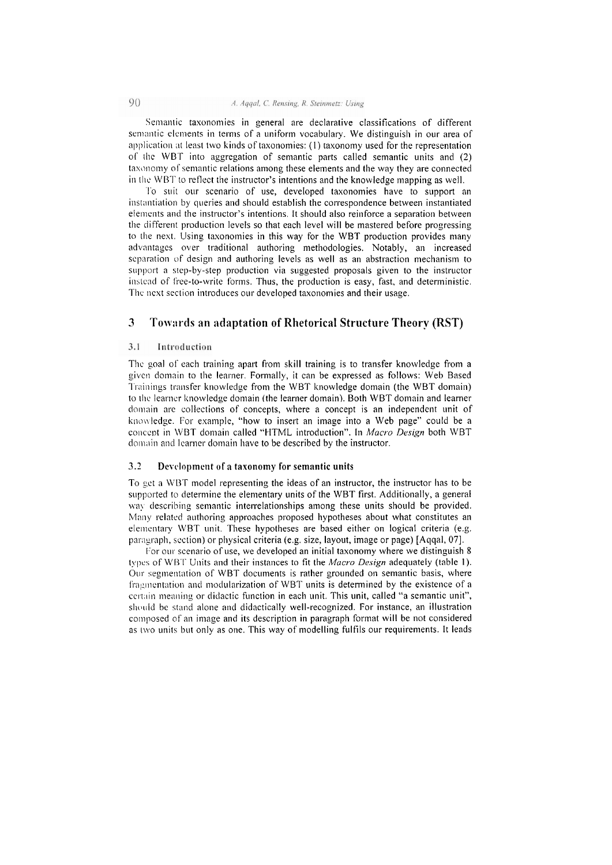Semantic taxonomies in general are declarative classifications of different semantic elements in terms of a uniform vocabulary. We distinguish in our area of application at least two kinds of taxonomies: (1) taxonomy used for the representation of the WBT into aggregation of semantic parts called semantic units and (2) taxonomy of semantic relations among these elements and the way they are connected in the WBT to reflect the instructor's intentions and the knowledge mapping as well.

To suit our scenario of use, developed taxonomies have to support an instantiation by queries and should establish the correspondence between instantiated elements and the instructor's intentions. It should also reinforce a separation between the different production levels so that each level will be mastered before progressing to the next. Using taxonomies in this way for the WBT production provides many advantages over traditional authoring methodologies. Notably, an increased separation of design and authoring levels as well as an abstraction mechanism to support a step-by-step production via suggested proposals given to the instructor instead of free-to-write forms. Thus, the production is easy, fast, and deterministic. The next section introduces our developed taxonomies and their usage.

# 3 Towards an adaptation of Rhetorical Structure Theory (RST)

#### $3.1$ Introduction

The goal of each training apart from skill training is to transfer knowledge from a given domain to the learner. Formally, it can be expressed as follows: Web Based Trainings transfer knowledge from the WBT knowledge domain (the WBT domain) to the learner knowledge domain (the learner domain). Both WBT domain and learner domain are collections of concepts, where a concept is an independent unit of knowledge. For example, "how to insert an image into a Web page" could be a concept in WBT domain called "HTML introduction". In Macro Design both WBT domain and learner domain have to be described by the instructor.

#### $3.2$ Development of a taxonomy for semantic units

To get a WBT model representing the ideas of an instructor, the instructor has to be supported to determine the elementary units of the WBT first. Additionally, a general way describing semantic interrelationships among these units should be provided. Many related authoring approaches proposed hypotheses about what constitutes an elementary WBT unit. These hypotheses are based either on logical criteria (e.g. paragraph, section) or physical criteria (e.g. size, layout, image or page) [Aggal, 07].

For our scenario of use, we developed an initial taxonomy where we distinguish 8 types of WBT Units and their instances to fit the Macro Design adequately (table 1). Our segmentation of WBT documents is rather grounded on semantic basis, where fragmentation and modularization of WBT units is determined by the existence of a certain meaning or didactic function in each unit. This unit, called "a semantic unit", should be stand alone and didactically well-recognized. For instance, an illustration composed of an image and its description in paragraph format will be not considered as two units but only as one. This way of modelling fulfils our requirements. It leads

 $Q()$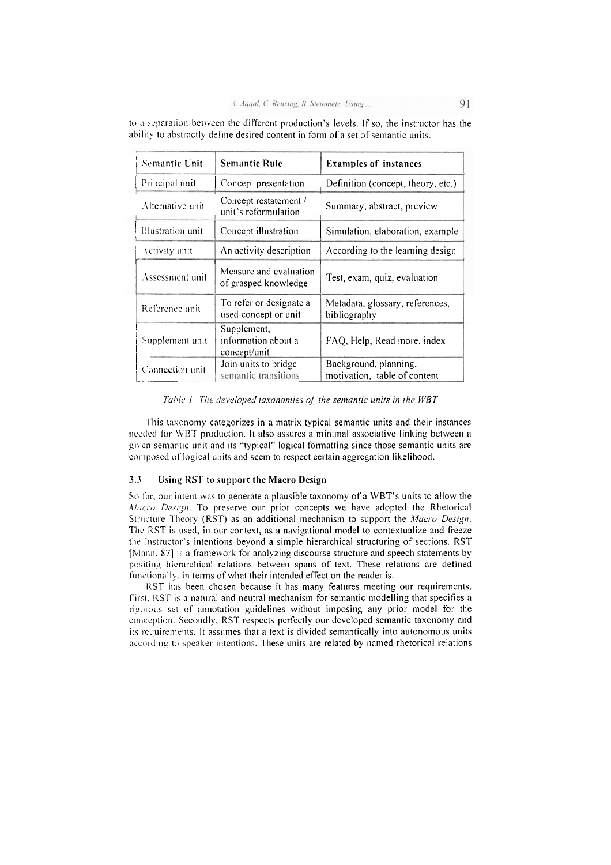| <b>Semantic Unit</b> | <b>Semantic Rule</b>                               | <b>Examples of instances</b>                          |
|----------------------|----------------------------------------------------|-------------------------------------------------------|
| Principal unit       | Concept presentation                               | Definition (concept, theory, etc.)                    |
| Alternative unit     | Concept restatement /<br>unit's reformulation      | Summary, abstract, preview                            |
| Illustration unit    | Concept illustration                               | Simulation, elaboration, example                      |
| Activity unit        | An activity description                            | According to the learning design                      |
| Assessment unit      | Measure and evaluation<br>of grasped knowledge     | Test, exam, quiz, evaluation                          |
| Reference unit       | To refer or designate a<br>used concept or unit    | Metadata, glossary, references,<br>bibliography       |
| Supplement unit      | Supplement,<br>information about a<br>concept/unit | FAQ, Help, Read more, index                           |
| Connection unit      | Join units to bridge<br>semantic transitions       | Background, planning,<br>motivation, table of content |

to a separation between the different production's levels. If so, the instructor has the ability to abstractly define desired content in form of a set of semantic units.

Table 1: The developed taxonomies of the semantic units in the WBT

This taxonomy categorizes in a matrix typical semantic units and their instances needed for WBT production. It also assures a minimal associative linking between a given semantic unit and its "typical" logical formatting since those semantic units are composed of logical units and seem to respect certain aggregation likelihood.

#### $3.3$ Using RST to support the Macro Design

So far, our intent was to generate a plausible taxonomy of a WBT's units to allow the Macro Design. To preserve our prior concepts we have adopted the Rhetorical Structure Theory (RST) as an additional mechanism to support the Macro Design. The RST is used, in our context, as a navigational model to contextualize and freeze the instructor's intentions beyond a simple hierarchical structuring of sections. RST [Mann, 87] is a framework for analyzing discourse structure and speech statements by positing hierarchical relations between spans of text. These relations are defined functionally, in terms of what their intended effect on the reader is.

RST has been chosen because it has many features meeting our requirements. First, RST is a natural and neutral mechanism for semantic modelling that specifies a rigorous set of annotation guidelines without imposing any prior model for the conception. Secondly, RST respects perfectly our developed semantic taxonomy and its requirements. It assumes that a text is divided semantically into autonomous units according to speaker intentions. These units are related by named rhetorical relations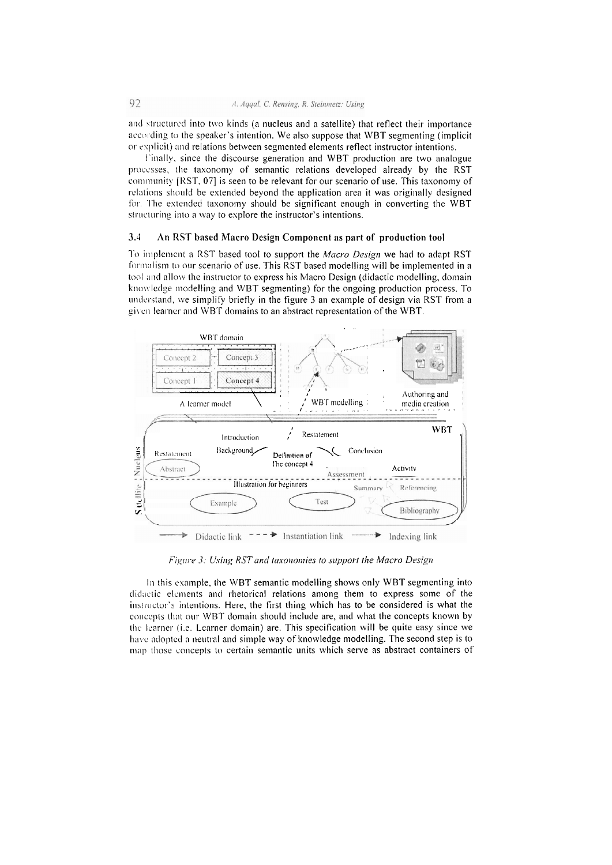and structured into two kinds (a nucleus and a satellite) that reflect their importance according to the speaker's intention. We also suppose that WBT segmenting (implicit or explicit) and relations between segmented elements reflect instructor intentions.

Finally, since the discourse generation and WBT production are two analogue processes, the taxonomy of semantic relations developed already by the RST community [RST, 07] is seen to be relevant for our scenario of use. This taxonomy of relations should be extended beyond the application area it was originally designed for. The extended taxonomy should be significant enough in converting the WBT structuring into a way to explore the instructor's intentions.

#### $3.4$ An RST based Macro Design Component as part of production tool

To implement a RST based tool to support the Macro Design we had to adapt RST formalism to our scenario of use. This RST based modelling will be implemented in a tool and allow the instructor to express his Macro Design (didactic modelling, domain knowledge modelling and WBT segmenting) for the ongoing production process. To understand, we simplify briefly in the figure 3 an example of design via RST from a given learner and WBT domains to an abstract representation of the WBT.



Figure 3: Using RST and taxonomies to support the Macro Design

In this example, the WBT semantic modelling shows only WBT segmenting into didactic elements and rhetorical relations among them to express some of the instructor's intentions. Here, the first thing which has to be considered is what the concepts that our WBT domain should include are, and what the concepts known by the learner (i.e. Learner domain) are. This specification will be quite easy since we have adopted a neutral and simple way of knowledge modelling. The second step is to map those concepts to certain semantic units which serve as abstract containers of

92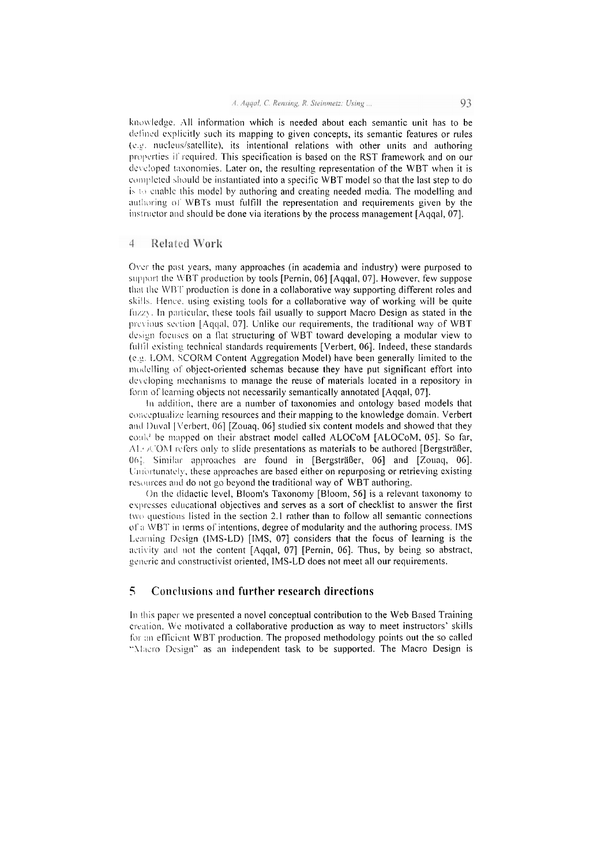knowledge. All information which is needed about each semantic unit has to be defined explicitly such its mapping to given concepts, its semantic features or rules (e.g. nucleus/satellite), its intentional relations with other units and authoring properties if required. This specification is based on the RST framework and on our developed taxonomies. Later on, the resulting representation of the WBT when it is completed should be instantiated into a specific WBT model so that the last step to do is to enable this model by authoring and creating needed media. The modelling and authoring of WBTs must fulfill the representation and requirements given by the instructor and should be done via iterations by the process management [Aqqal, 07].

#### $\overline{4}$ **Related Work**

Over the past years, many approaches (in academia and industry) were purposed to support the WBT production by tools [Pernin, 06] [Aqqal, 07]. However, few suppose that the WBT production is done in a collaborative way supporting different roles and skills. Hence, using existing tools for a collaborative way of working will be quite fuzzy. In particular, these tools fail usually to support Macro Design as stated in the previous section [Aqqal, 07]. Unlike our requirements, the traditional way of WBT design focuses on a flat structuring of WBT toward developing a modular view to fulfil existing technical standards requirements [Verbert, 06]. Indeed, these standards (e.g. LOM, SCORM Content Aggregation Model) have been generally limited to the modelling of object-oriented schemas because they have put significant effort into developing mechanisms to manage the reuse of materials located in a repository in form of learning objects not necessarily semantically annotated [Aqqal, 07].

In addition, there are a number of taxonomies and ontology based models that conceptualize learning resources and their mapping to the knowledge domain. Verbert and Duval [Verbert, 06] [Zouaq, 06] studied six content models and showed that they could be mapped on their abstract model called ALOCoM [ALOCoM, 05]. So far,  $AL \times$  OM refers only to slide presentations as materials to be authored [Bergsträßer, 06]. Similar approaches are found in [Bergsträßer, 06] and [Zouaq, 06]. Unfortunately, these approaches are based either on repurposing or retrieving existing resources and do not go beyond the traditional way of WBT authoring.

On the didactic level, Bloom's Taxonomy [Bloom, 56] is a relevant taxonomy to expresses educational objectives and serves as a sort of checklist to answer the first two questions listed in the section 2.1 rather than to follow all semantic connections of a WBT in terms of intentions, degree of modularity and the authoring process. IMS Learning Design (IMS-LD) [IMS, 07] considers that the focus of learning is the activity and not the content [Aqqal, 07] [Pernin, 06]. Thus, by being so abstract, generic and constructivist oriented, IMS-LD does not meet all our requirements.

# $\overline{\mathbf{S}}$ Conclusions and further research directions

In this paper we presented a novel conceptual contribution to the Web Based Training creation. We motivated a collaborative production as way to meet instructors' skills for an efficient WBT production. The proposed methodology points out the so called "Maero Design" as an independent task to be supported. The Macro Design is